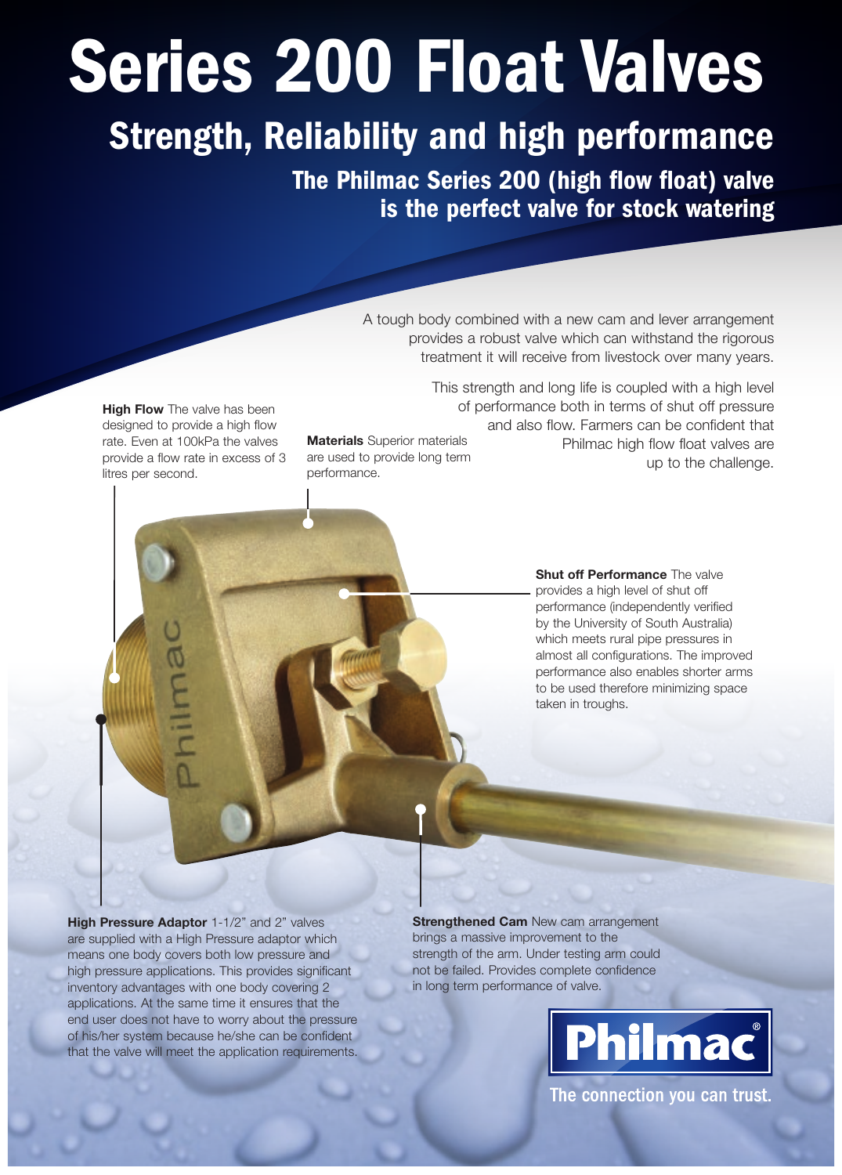## Series 200 Float Valves

## Strength, Reliability and high performance

The Philmac Series 200 (high flow float) valve is the perfect valve for stock watering

> A tough body combined with a new cam and lever arrangement provides a robust valve which can withstand the rigorous treatment it will receive from livestock over many years.

**High Flow** The valve has been designed to provide a high flow rate. Even at 100kPa the valves provide a flow rate in excess of 3 litres per second.

philma

**Materials** Superior materials are used to provide long term performance.

This strength and long life is coupled with a high level of performance both in terms of shut off pressure and also flow. Farmers can be confident that Philmac high flow float valves are up to the challenge.

> **Shut off Performance** The valve provides a high level of shut off performance (independently verified by the University of South Australia) which meets rural pipe pressures in almost all configurations. The improved performance also enables shorter arms to be used therefore minimizing space taken in troughs.

**High Pressure Adaptor** 1-1/2" and 2" valves are supplied with a High Pressure adaptor which means one body covers both low pressure and high pressure applications. This provides significant inventory advantages with one body covering 2 applications. At the same time it ensures that the end user does not have to worry about the pressure of his/her system because he/she can be confident that the valve will meet the application requirements.

**Strengthened Cam** New cam arrangement brings a massive improvement to the strength of the arm. Under testing arm could not be failed. Provides complete confidence in long term performance of valve.



The connection you can trust.